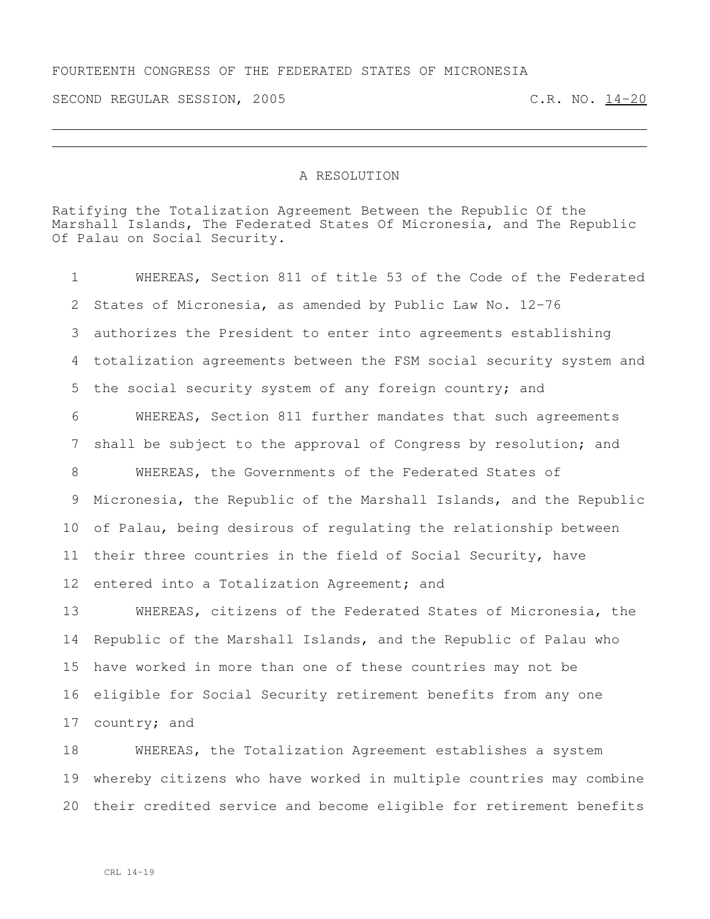## FOURTEENTH CONGRESS OF THE FEDERATED STATES OF MICRONESIA

SECOND REGULAR SESSION, 2005 C.R. NO. 14-20

## A RESOLUTION

Ratifying the Totalization Agreement Between the Republic Of the Marshall Islands, The Federated States Of Micronesia, and The Republic Of Palau on Social Security.

 WHEREAS, Section 811 of title 53 of the Code of the Federated States of Micronesia, as amended by Public Law No. 12-76 authorizes the President to enter into agreements establishing totalization agreements between the FSM social security system and the social security system of any foreign country; and WHEREAS, Section 811 further mandates that such agreements shall be subject to the approval of Congress by resolution; and WHEREAS, the Governments of the Federated States of Micronesia, the Republic of the Marshall Islands, and the Republic of Palau, being desirous of regulating the relationship between 11 their three countries in the field of Social Security, have entered into a Totalization Agreement; and WHEREAS, citizens of the Federated States of Micronesia, the Republic of the Marshall Islands, and the Republic of Palau who have worked in more than one of these countries may not be

 eligible for Social Security retirement benefits from any one country; and

 WHEREAS, the Totalization Agreement establishes a system whereby citizens who have worked in multiple countries may combine their credited service and become eligible for retirement benefits